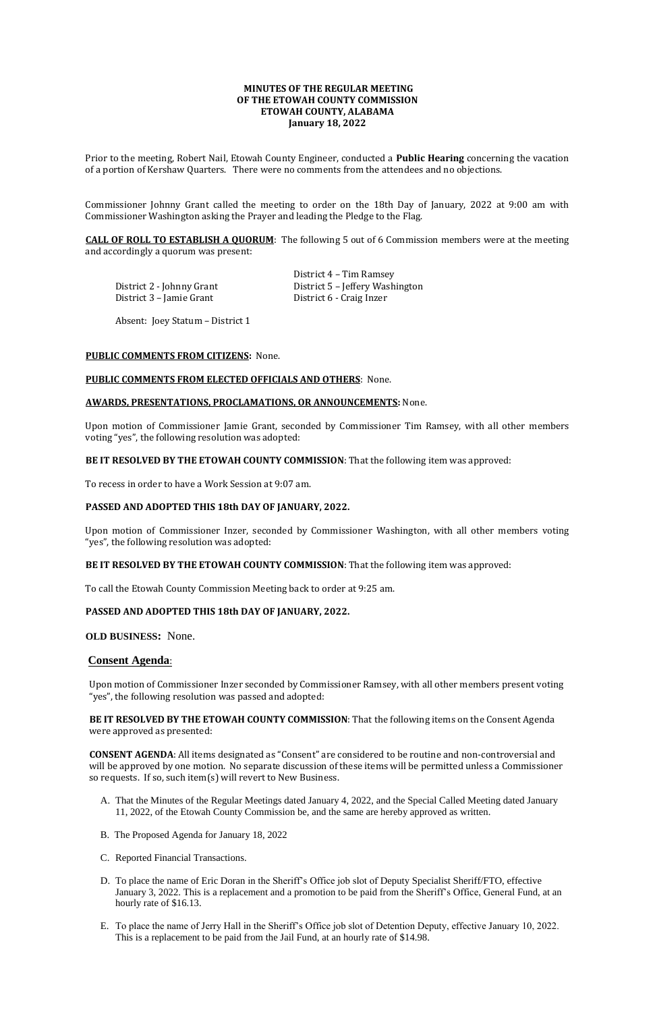# **MINUTES OF THE REGULAR MEETING OF THE ETOWAH COUNTY COMMISSION ETOWAH COUNTY, ALABAMA January 18, 2022**

Prior to the meeting, Robert Nail, Etowah County Engineer, conducted a **Public Hearing** concerning the vacation of a portion of Kershaw Quarters. There were no comments from the attendees and no objections.

District 4 – Tim Ramsey District 2 - Johnny Grant District 5 – Jeffery Washington

Commissioner Johnny Grant called the meeting to order on the 18th Day of January, 2022 at 9:00 am with Commissioner Washington asking the Prayer and leading the Pledge to the Flag.

**CALL OF ROLL TO ESTABLISH A QUORUM**: The following 5 out of 6 Commission members were at the meeting and accordingly a quorum was present:

District 3 – Jamie Grant District 6 - Craig Inzer

Absent: Joey Statum – District 1

### **PUBLIC COMMENTS FROM CITIZENS:** None.

### **PUBLIC COMMENTS FROM ELECTED OFFICIALS AND OTHERS**: None.

### **AWARDS, PRESENTATIONS, PROCLAMATIONS, OR ANNOUNCEMENTS:** None.

Upon motion of Commissioner Jamie Grant, seconded by Commissioner Tim Ramsey, with all other members voting "yes", the following resolution was adopted:

## **BE IT RESOLVED BY THE ETOWAH COUNTY COMMISSION**: That the following item was approved:

To recess in order to have a Work Session at 9:07 am.

## **PASSED AND ADOPTED THIS 18th DAY OF JANUARY, 2022.**

Upon motion of Commissioner Inzer, seconded by Commissioner Washington, with all other members voting "yes", the following resolution was adopted:

**BE IT RESOLVED BY THE ETOWAH COUNTY COMMISSION**: That the following item was approved:

To call the Etowah County Commission Meeting back to order at 9:25 am.

## **PASSED AND ADOPTED THIS 18th DAY OF JANUARY, 2022.**

**OLD BUSINESS:** None.

## **Consent Agenda**:

Upon motion of Commissioner Inzer seconded by Commissioner Ramsey, with all other members present voting "yes", the following resolution was passed and adopted:

**BE IT RESOLVED BY THE ETOWAH COUNTY COMMISSION**: That the following items on the Consent Agenda were approved as presented:

**CONSENT AGENDA**: All items designated as "Consent" are considered to be routine and non-controversial and will be approved by one motion. No separate discussion of these items will be permitted unless a Commissioner so requests. If so, such item(s) will revert to New Business.

- A. That the Minutes of the Regular Meetings dated January 4, 2022, and the Special Called Meeting dated January 11, 2022, of the Etowah County Commission be, and the same are hereby approved as written.
- B. The Proposed Agenda for January 18, 2022
- C. Reported Financial Transactions.
- D. To place the name of Eric Doran in the Sheriff's Office job slot of Deputy Specialist Sheriff/FTO, effective January 3, 2022. This is a replacement and a promotion to be paid from the Sheriff's Office, General Fund, at an hourly rate of \$16.13.
- E. To place the name of Jerry Hall in the Sheriff's Office job slot of Detention Deputy, effective January 10, 2022. This is a replacement to be paid from the Jail Fund, at an hourly rate of \$14.98.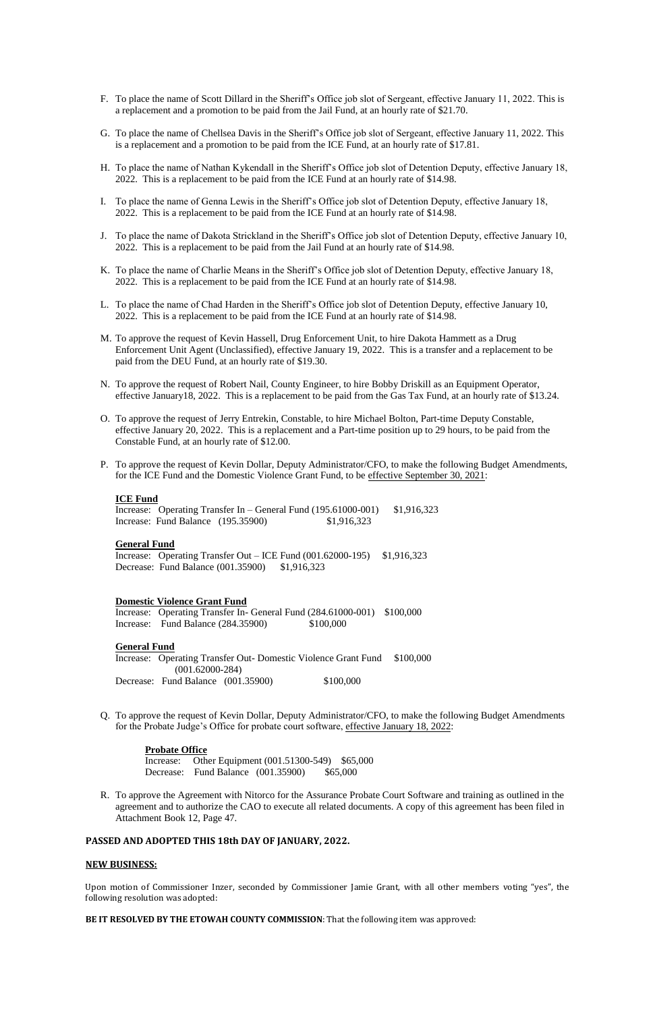- F. To place the name of Scott Dillard in the Sheriff's Office job slot of Sergeant, effective January 11, 2022. This is a replacement and a promotion to be paid from the Jail Fund, at an hourly rate of \$21.70.
- G. To place the name of Chellsea Davis in the Sheriff's Office job slot of Sergeant, effective January 11, 2022. This is a replacement and a promotion to be paid from the ICE Fund, at an hourly rate of \$17.81.
- H. To place the name of Nathan Kykendall in the Sheriff's Office job slot of Detention Deputy, effective January 18, 2022. This is a replacement to be paid from the ICE Fund at an hourly rate of \$14.98.
- I. To place the name of Genna Lewis in the Sheriff's Office job slot of Detention Deputy, effective January 18, 2022. This is a replacement to be paid from the ICE Fund at an hourly rate of \$14.98.
- J. To place the name of Dakota Strickland in the Sheriff's Office job slot of Detention Deputy, effective January 10, 2022. This is a replacement to be paid from the Jail Fund at an hourly rate of \$14.98.
- K. To place the name of Charlie Means in the Sheriff's Office job slot of Detention Deputy, effective January 18, 2022. This is a replacement to be paid from the ICE Fund at an hourly rate of \$14.98.
- L. To place the name of Chad Harden in the Sheriff's Office job slot of Detention Deputy, effective January 10, 2022. This is a replacement to be paid from the ICE Fund at an hourly rate of \$14.98.
- M. To approve the request of Kevin Hassell, Drug Enforcement Unit, to hire Dakota Hammett as a Drug Enforcement Unit Agent (Unclassified), effective January 19, 2022. This is a transfer and a replacement to be paid from the DEU Fund, at an hourly rate of \$19.30.
- N. To approve the request of Robert Nail, County Engineer, to hire Bobby Driskill as an Equipment Operator, effective January18, 2022. This is a replacement to be paid from the Gas Tax Fund, at an hourly rate of \$13.24.
- O. To approve the request of Jerry Entrekin, Constable, to hire Michael Bolton, Part-time Deputy Constable, effective January 20, 2022. This is a replacement and a Part-time position up to 29 hours, to be paid from the Constable Fund, at an hourly rate of \$12.00.
- P. To approve the request of Kevin Dollar, Deputy Administrator/CFO, to make the following Budget Amendments, for the ICE Fund and the Domestic Violence Grant Fund, to be effective September 30, 2021:

Increase: Operating Transfer Out – ICE Fund (001.62000-195) \$1,916,323 Decrease: Fund Balance (001.35900) \$1,916,323

Increase: Operating Transfer In- General Fund (284.61000-001) \$100,000 Increase: Fund Balance (284.35900) \$100,000

Increase: Operating Transfer Out- Domestic Violence Grant Fund \$100,000 (001.62000-284) Decrease: Fund Balance (001.35900) \$100,000

### **ICE Fund**

Increase: Operating Transfer In – General Fund (195.61000-001) \$1,916,323 Increase: Fund Balance (195.35900) \$1,916,323

#### **General Fund**

### **Domestic Violence Grant Fund**

#### **General Fund**

Q. To approve the request of Kevin Dollar, Deputy Administrator/CFO, to make the following Budget Amendments for the Probate Judge's Office for probate court software, effective January 18, 2022:

#### **Probate Office**

Increase: Other Equipment (001.51300-549) \$65,000 Decrease: Fund Balance (001.35900) \$65,000

R. To approve the Agreement with Nitorco for the Assurance Probate Court Software and training as outlined in the agreement and to authorize the CAO to execute all related documents. A copy of this agreement has been filed in Attachment Book 12, Page 47.

# **PASSED AND ADOPTED THIS 18th DAY OF JANUARY, 2022.**

## **NEW BUSINESS:**

Upon motion of Commissioner Inzer, seconded by Commissioner Jamie Grant, with all other members voting "yes", the following resolution was adopted:

### **BE IT RESOLVED BY THE ETOWAH COUNTY COMMISSION**: That the following item was approved: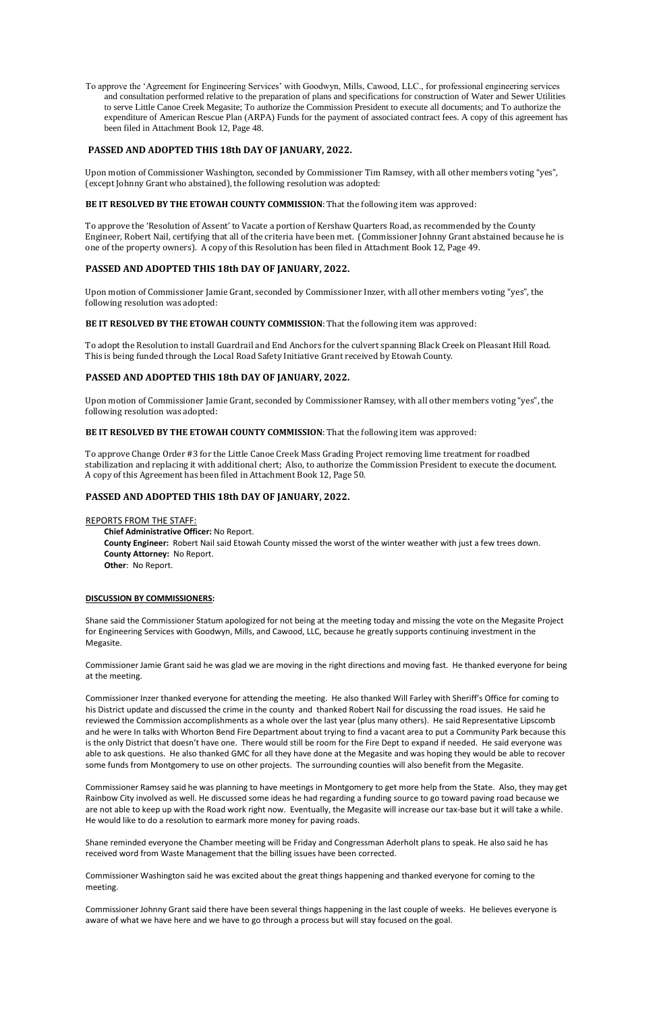To approve the 'Agreement for Engineering Services' with Goodwyn, Mills, Cawood, LLC., for professional engineering services and consultation performed relative to the preparation of plans and specifications for construction of Water and Sewer Utilities to serve Little Canoe Creek Megasite; To authorize the Commission President to execute all documents; and To authorize the expenditure of American Rescue Plan (ARPA) Funds for the payment of associated contract fees. A copy of this agreement has been filed in Attachment Book 12, Page 48.

## **PASSED AND ADOPTED THIS 18th DAY OF JANUARY, 2022.**

Upon motion of Commissioner Washington, seconded by Commissioner Tim Ramsey, with all other members voting "yes", (except Johnny Grant who abstained), the following resolution was adopted:

## **BE IT RESOLVED BY THE ETOWAH COUNTY COMMISSION**: That the following item was approved:

To approve the 'Resolution of Assent' to Vacate a portion of Kershaw Quarters Road, as recommended by the County Engineer, Robert Nail, certifying that all of the criteria have been met. (Commissioner Johnny Grant abstained because he is one of the property owners). A copy of this Resolution has been filed in Attachment Book 12, Page 49.

# **PASSED AND ADOPTED THIS 18th DAY OF JANUARY, 2022.**

Upon motion of Commissioner Jamie Grant, seconded by Commissioner Inzer, with all other members voting "yes", the following resolution was adopted:

### **BE IT RESOLVED BY THE ETOWAH COUNTY COMMISSION**: That the following item was approved:

To adopt the Resolution to install Guardrail and End Anchors for the culvert spanning Black Creek on Pleasant Hill Road. This is being funded through the Local Road Safety Initiative Grant received by Etowah County.

## **PASSED AND ADOPTED THIS 18th DAY OF JANUARY, 2022.**

Upon motion of Commissioner Jamie Grant, seconded by Commissioner Ramsey, with all other members voting "yes", the following resolution was adopted:

### **BE IT RESOLVED BY THE ETOWAH COUNTY COMMISSION**: That the following item was approved:

To approve Change Order #3 for the Little Canoe Creek Mass Grading Project removing lime treatment for roadbed stabilization and replacing it with additional chert; Also, to authorize the Commission President to execute the document. A copy of this Agreement has been filed in Attachment Book 12, Page 50.

## **PASSED AND ADOPTED THIS 18th DAY OF JANUARY, 2022.**

### REPORTS FROM THE STAFF:

 **Chief Administrative Officer:** No Report. **County Engineer:** Robert Nail said Etowah County missed the worst of the winter weather with just a few trees down. **County Attorney:** No Report. **Other**: No Report.

### **DISCUSSION BY COMMISSIONERS:**

Shane said the Commissioner Statum apologized for not being at the meeting today and missing the vote on the Megasite Project for Engineering Services with Goodwyn, Mills, and Cawood, LLC, because he greatly supports continuing investment in the Megasite.

Commissioner Jamie Grant said he was glad we are moving in the right directions and moving fast. He thanked everyone for being at the meeting.

Commissioner Inzer thanked everyone for attending the meeting. He also thanked Will Farley with Sheriff's Office for coming to his District update and discussed the crime in the county and thanked Robert Nail for discussing the road issues. He said he reviewed the Commission accomplishments as a whole over the last year (plus many others). He said Representative Lipscomb and he were In talks with Whorton Bend Fire Department about trying to find a vacant area to put a Community Park because this is the only District that doesn't have one. There would still be room for the Fire Dept to expand if needed. He said everyone was able to ask questions. He also thanked GMC for all they have done at the Megasite and was hoping they would be able to recover some funds from Montgomery to use on other projects. The surrounding counties will also benefit from the Megasite.

Commissioner Ramsey said he was planning to have meetings in Montgomery to get more help from the State. Also, they may get Rainbow City involved as well. He discussed some ideas he had regarding a funding source to go toward paving road because we are not able to keep up with the Road work right now. Eventually, the Megasite will increase our tax-base but it will take a while. He would like to do a resolution to earmark more money for paving roads.

Shane reminded everyone the Chamber meeting will be Friday and Congressman Aderholt plans to speak. He also said he has received word from Waste Management that the billing issues have been corrected.

Commissioner Washington said he was excited about the great things happening and thanked everyone for coming to the meeting.

Commissioner Johnny Grant said there have been several things happening in the last couple of weeks. He believes everyone is aware of what we have here and we have to go through a process but will stay focused on the goal.